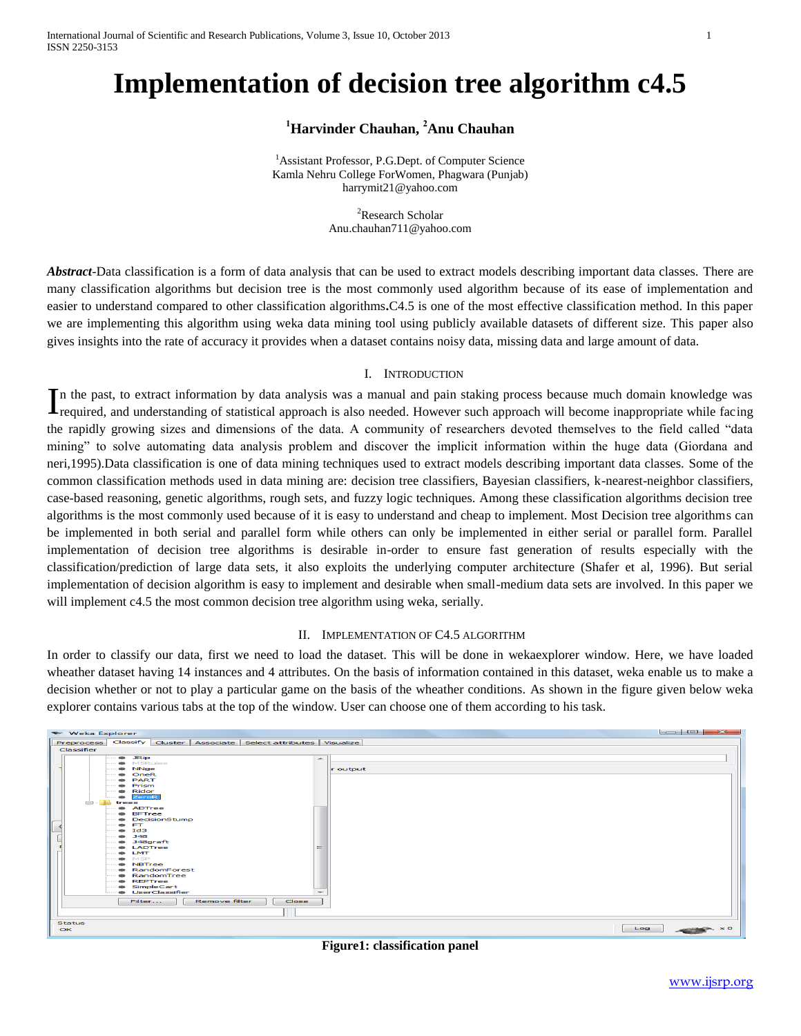International Journal of Scientific and Research Publications, Volume 3, Issue 10, October 2013 1 ISSN 2250-3153

# **Implementation of decision tree algorithm c4.5**

# **<sup>1</sup>Harvinder Chauhan, <sup>2</sup>Anu Chauhan**

<sup>1</sup> Assistant Professor, P.G.Dept. of Computer Science Kamla Nehru College ForWomen, Phagwara (Punjab) [harrymit21@yahoo.com](mailto:harrymit21@yahoo.com)

> <sup>2</sup>Research Scholar [Anu.chauhan711@yahoo.com](mailto:Anu.chauhan711@yahoo.com)

*Abstract*-Data classification is a form of data analysis that can be used to extract models describing important data classes. There are many classification algorithms but decision tree is the most commonly used algorithm because of its ease of implementation and easier to understand compared to other classification algorithms**.**C4.5 is one of the most effective classification method. In this paper we are implementing this algorithm using weka data mining tool using publicly available datasets of different size. This paper also gives insights into the rate of accuracy it provides when a dataset contains noisy data, missing data and large amount of data.

#### I. INTRODUCTION

n the past, to extract information by data analysis was a manual and pain staking process because much domain knowledge was In the past, to extract information by data analysis was a manual and pain staking process because much domain knowledge was required, and understanding of statistical approach is also needed. However such approach will be the rapidly growing sizes and dimensions of the data. A community of researchers devoted themselves to the field called "data mining" to solve automating data analysis problem and discover the implicit information within the huge data (Giordana and neri,1995).Data classification is one of data mining techniques used to extract models describing important data classes. Some of the common classification methods used in data mining are: decision tree classifiers, Bayesian classifiers, k-nearest-neighbor classifiers, case-based reasoning, genetic algorithms, rough sets, and fuzzy logic techniques. Among these classification algorithms decision tree algorithms is the most commonly used because of it is easy to understand and cheap to implement. Most Decision tree algorithms can be implemented in both serial and parallel form while others can only be implemented in either serial or parallel form. Parallel implementation of decision tree algorithms is desirable in-order to ensure fast generation of results especially with the classification/prediction of large data sets, it also exploits the underlying computer architecture (Shafer et al, 1996). But serial implementation of decision algorithm is easy to implement and desirable when small-medium data sets are involved. In this paper we will implement c4.5 the most common decision tree algorithm using weka, serially.

#### II. IMPLEMENTATION OF C4.5 ALGORITHM

In order to classify our data, first we need to load the dataset. This will be done in wekaexplorer window. Here, we have loaded wheather dataset having 14 instances and 4 attributes. On the basis of information contained in this dataset, weka enable us to make a decision whether or not to play a particular game on the basis of the wheather conditions. As shown in the figure given below weka explorer contains various tabs at the top of the window. User can choose one of them according to his task.



**Figure1: classification panel**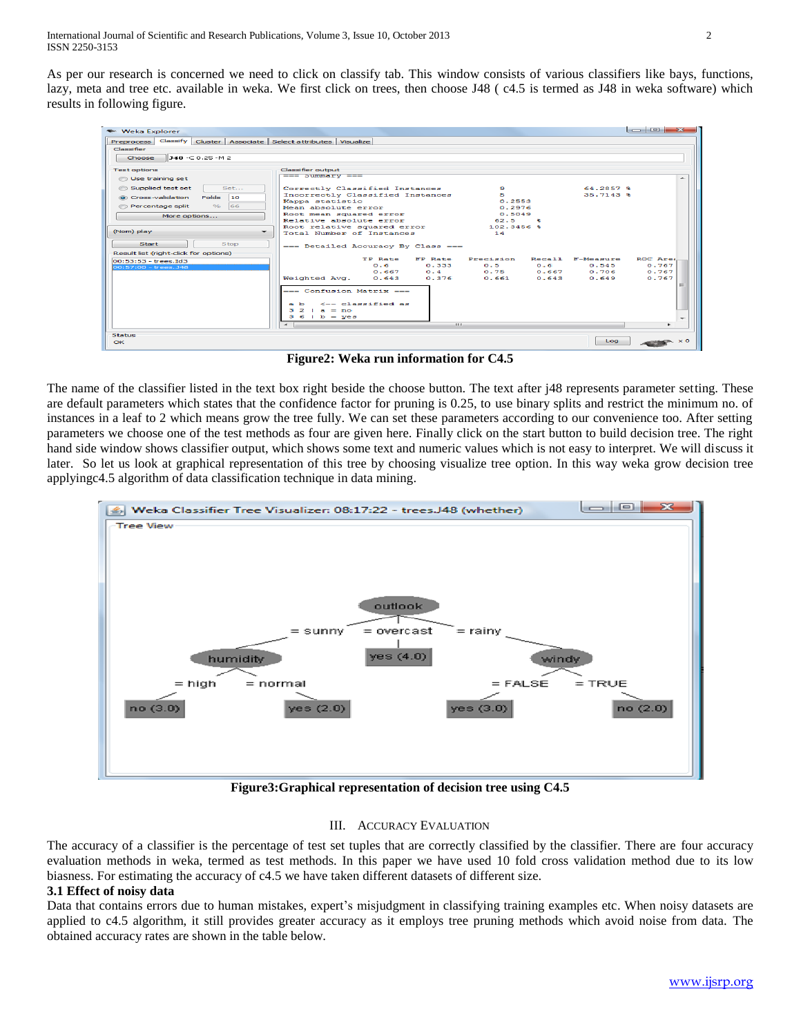As per our research is concerned we need to click on classify tab. This window consists of various classifiers like bays, functions, lazy, meta and tree etc. available in weka. We first click on trees, then choose J48 ( c4.5 is termed as J48 in weka software) which results in following figure.

| <b>Weka Explorer</b>                                                 |                                                    |                  |                                     |
|----------------------------------------------------------------------|----------------------------------------------------|------------------|-------------------------------------|
| Classify Cluster Associate Select attributes Visualize<br>Preprocess |                                                    |                  |                                     |
| Classifier                                                           |                                                    |                  |                                     |
| 148 -C 0.25 -M 2<br>Choose                                           |                                                    |                  |                                     |
| <b>Test options</b>                                                  | Classifier output                                  |                  |                                     |
| <b>O</b> Use training set                                            | $==$ bummary $==$                                  |                  | ∽                                   |
| Set<br>Supplied test set                                             | Correctly Classified Instances                     | ٠                | 64.2857 %                           |
| <b>Folds</b><br>10<br>Cross-validation                               | Incorrectly Classified Instances                   | 5.               | $35.7143$ %                         |
| $\frac{1}{2}$<br>66<br>Percentage split                              | Kappa statistic                                    | 0.2553           |                                     |
|                                                                      | Mean absolute error                                | 0.2976<br>0.5049 |                                     |
| More options                                                         | Root mean squared error<br>Relative absolute error | 62.5<br>象        |                                     |
|                                                                      | Root relative squared error                        | $102.3456$ &     |                                     |
| (Nom) play                                                           | Total Number of Instances                          | 1.4              |                                     |
| <b>Start</b><br><b>Stop</b><br>Result list (right-click for options) | --- Detailed Accuracy By Class ---                 |                  |                                     |
| $00:53:53 - trees.Id3$                                               | <b>TP Rate</b><br>FP Rate                          | Precision        | Recall F-Measure<br><b>BOC Ares</b> |
| 00:57:00 - trees. J48                                                | $0.6 -$<br>0.333                                   | 0.5<br>0.6       | 0.545<br>0.767                      |
|                                                                      | 0.4<br>0.667                                       | 0.75<br>0.667    | 0.706<br>0.767                      |
|                                                                      | Weighted Avg.<br>0.376<br>0.643                    | 0.661<br>0.643   | 0.649<br>0.767                      |
|                                                                      | === Confusion Matrix ===                           |                  | $=$                                 |
|                                                                      | $\leftarrow$ - classified as<br>$\mathbf{a}$ b     |                  |                                     |
|                                                                      | $32 + a = no$                                      |                  |                                     |
|                                                                      | $361b - ye3$                                       |                  |                                     |
|                                                                      | $\epsilon$                                         | ALC U            |                                     |
| <b>Status</b>                                                        |                                                    |                  |                                     |
| $\alpha$                                                             |                                                    |                  | Log<br>$\times$ 0                   |

**Figure2: Weka run information for C4.5**

The name of the classifier listed in the text box right beside the choose button. The text after j48 represents parameter setting. These are default parameters which states that the confidence factor for pruning is 0.25, to use binary splits and restrict the minimum no. of instances in a leaf to 2 which means grow the tree fully. We can set these parameters according to our convenience too. After setting parameters we choose one of the test methods as four are given here. Finally click on the start button to build decision tree. The right hand side window shows classifier output, which shows some text and numeric values which is not easy to interpret. We will discuss it later. So let us look at graphical representation of this tree by choosing visualize tree option. In this way weka grow decision tree applyingc4.5 algorithm of data classification technique in data mining.



**Figure3:Graphical representation of decision tree using C4.5**

#### III. ACCURACY EVALUATION

The accuracy of a classifier is the percentage of test set tuples that are correctly classified by the classifier. There are four accuracy evaluation methods in weka, termed as test methods. In this paper we have used 10 fold cross validation method due to its low biasness. For estimating the accuracy of c4.5 we have taken different datasets of different size.

#### **3.1 Effect of noisy data**

Data that contains errors due to human mistakes, expert's misjudgment in classifying training examples etc. When noisy datasets are applied to c4.5 algorithm, it still provides greater accuracy as it employs tree pruning methods which avoid noise from data. The obtained accuracy rates are shown in the table below.